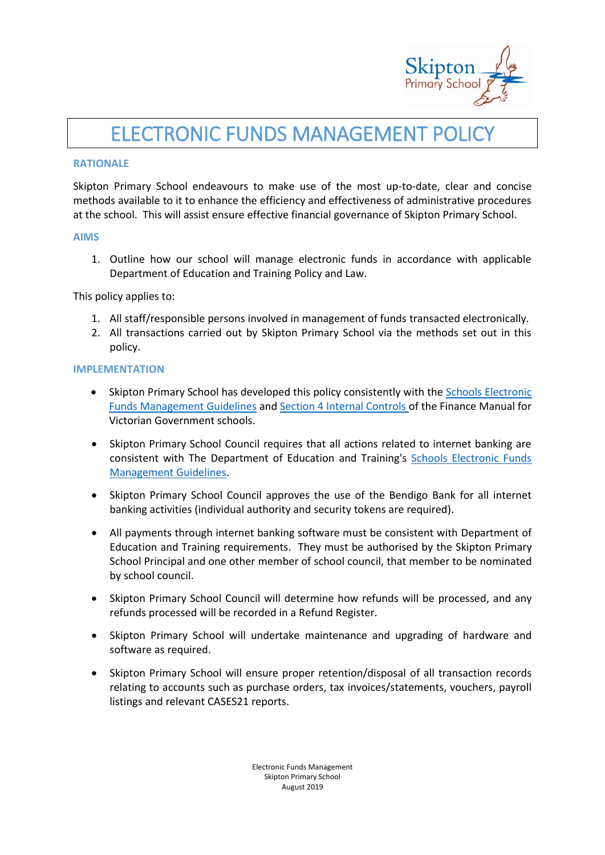

## ELECTRONIC FUNDS MANAGEMENT POLICY

#### **RATIONALE**

Skipton Primary School endeavours to make use of the most up-to-date, clear and concise methods available to it to enhance the efficiency and effectiveness of administrative procedures at the school. This will assist ensure effective financial governance of Skipton Primary School.

#### **AIMS**

1. Outline how our school will manage electronic funds in accordance with applicable Department of Education and Training Policy and Law.

This policy applies to:

- 1. All staff/responsible persons involved in management of funds transacted electronically.
- 2. All transactions carried out by Skipton Primary School via the methods set out in this policy.

#### **IMPLEMENTATION**

- Skipton Primary School has developed this policy consistently with the Schools Electronic [Funds Management Guidelines](http://www.education.vic.gov.au/Documents/school/principals/finance/Fin%20Schools%20Electronic%20Funds%20Management%20Guidelines%20V1_2.pdf) and [Section 4 Internal Controls](http://www.education.vic.gov.au/Documents/school/teachers/management/fmvgssection4.pdf) of the Finance Manual for Victorian Government schools.
- Skipton Primary School Council requires that all actions related to internet banking are consistent with The Department of Education and Training's [Schools Electronic Funds](http://www.education.vic.gov.au/Documents/school/principals/finance/Fin%20Schools%20Electronic%20Funds%20Management%20Guidelines%20V1_2.pdf)  [Management Guidelines.](http://www.education.vic.gov.au/Documents/school/principals/finance/Fin%20Schools%20Electronic%20Funds%20Management%20Guidelines%20V1_2.pdf)
- Skipton Primary School Council approves the use of the Bendigo Bank for all internet banking activities (individual authority and security tokens are required).
- All payments through internet banking software must be consistent with Department of Education and Training requirements. They must be authorised by the Skipton Primary School Principal and one other member of school council, that member to be nominated by school council.
- Skipton Primary School Council will determine how refunds will be processed, and any refunds processed will be recorded in a Refund Register.
- Skipton Primary School will undertake maintenance and upgrading of hardware and software as required.
- Skipton Primary School will ensure proper retention/disposal of all transaction records relating to accounts such as purchase orders, tax invoices/statements, vouchers, payroll listings and relevant CASES21 reports.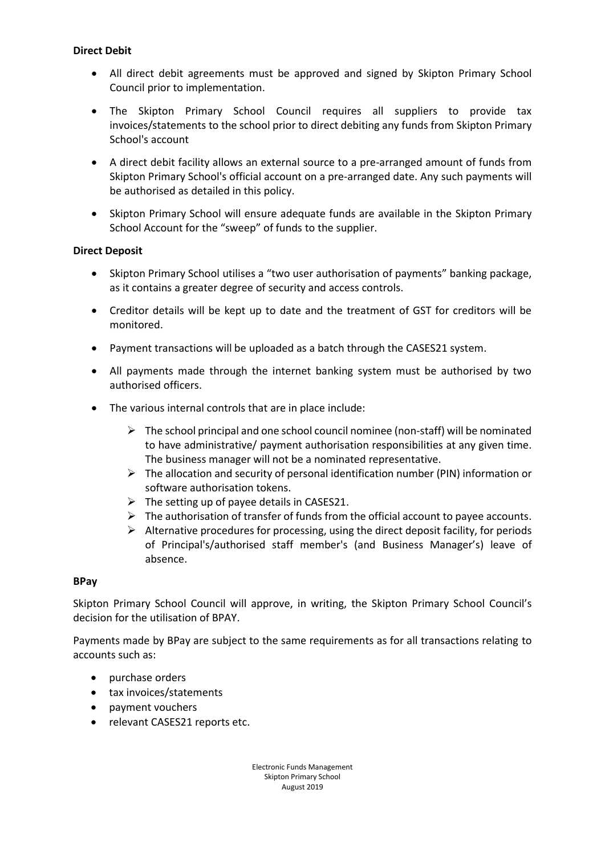## **Direct Debit**

- All direct debit agreements must be approved and signed by Skipton Primary School Council prior to implementation.
- The Skipton Primary School Council requires all suppliers to provide tax invoices/statements to the school prior to direct debiting any funds from Skipton Primary School's account
- A direct debit facility allows an external source to a pre-arranged amount of funds from Skipton Primary School's official account on a pre-arranged date. Any such payments will be authorised as detailed in this policy.
- Skipton Primary School will ensure adequate funds are available in the Skipton Primary School Account for the "sweep" of funds to the supplier.

## **Direct Deposit**

- Skipton Primary School utilises a "two user authorisation of payments" banking package, as it contains a greater degree of security and access controls.
- Creditor details will be kept up to date and the treatment of GST for creditors will be monitored.
- Payment transactions will be uploaded as a batch through the CASES21 system.
- All payments made through the internet banking system must be authorised by two authorised officers.
- The various internal controls that are in place include:
	- $\triangleright$  The school principal and one school council nominee (non-staff) will be nominated to have administrative/ payment authorisation responsibilities at any given time. The business manager will not be a nominated representative.
	- $\triangleright$  The allocation and security of personal identification number (PIN) information or software authorisation tokens.
	- $\triangleright$  The setting up of payee details in CASES21.
	- $\triangleright$  The authorisation of transfer of funds from the official account to payee accounts.
	- $\triangleright$  Alternative procedures for processing, using the direct deposit facility, for periods of Principal's/authorised staff member's (and Business Manager's) leave of absence.

## **BPay**

Skipton Primary School Council will approve, in writing, the Skipton Primary School Council's decision for the utilisation of BPAY.

Payments made by BPay are subject to the same requirements as for all transactions relating to accounts such as:

- purchase orders
- tax invoices/statements
- payment vouchers
- relevant CASES21 reports etc.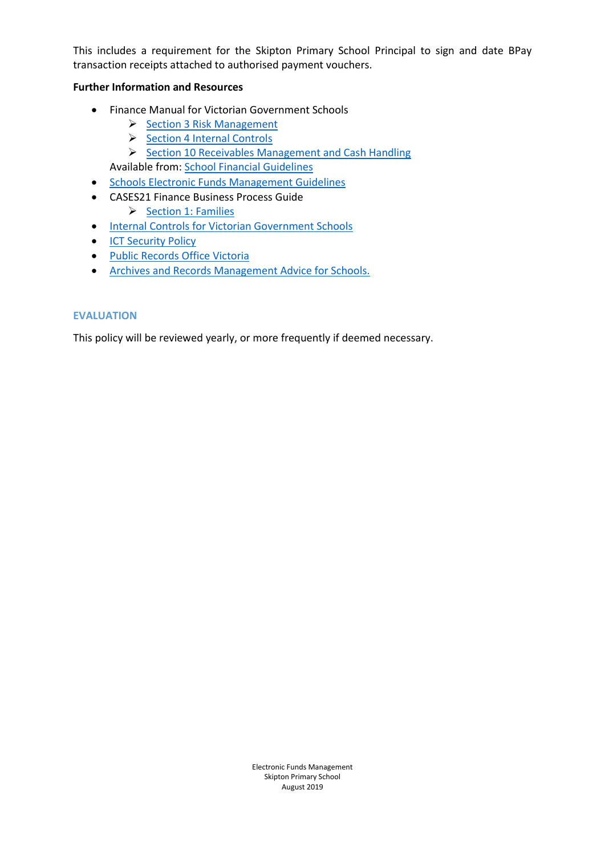This includes a requirement for the Skipton Primary School Principal to sign and date BPay transaction receipts attached to authorised payment vouchers.

## **Further Information and Resources**

- Finance Manual for Victorian Government Schools
	- $\triangleright$  [Section 3 Risk Management](http://www.education.vic.gov.au/Documents/school/teachers/management/fmvgssection3.pdf)
	- $\triangleright$  [Section 4 Internal Controls](http://www.education.vic.gov.au/Documents/school/teachers/management/fmvgssection4.pdf)
	- $\triangleright$  [Section 10 Receivables Management and Cash Handling](http://www.education.vic.gov.au/Documents/school/teachers/management/fmvgssection10.pdf) Available from[: School Financial Guidelines](http://www.education.vic.gov.au/school/teachers/management/finance/Pages/guidelines.aspx)
- **•** [Schools Electronic Funds Management Guidelines](http://www.education.vic.gov.au/Documents/school/principals/finance/Fin%20Schools%20Electronic%20Funds%20Management%20Guidelines%20V1_2.pdf)
- CASES21 Finance Business Process Guide  $\triangleright$  [Section 1: Families](https://edugate.eduweb.vic.gov.au/edulibrary/Schools/Forms/AllItems.aspx?RootFolder=%2fedulibrary%2fSchools%2fCASES21%2fCASES21%20Finance%2fFinance%20Business%20Process%20Guide&FolderCTID=&View=%7b393E28AF%2d9188%2d49EC%2d9B2F%2d5B1CA6BF217D%7d)
- **•** [Internal Controls for Victorian Government Schools](http://www.education.vic.gov.au/Documents/school/principals/finance/Fin%20Internal%20Control%20document%20v3.2.pdf)
- **[ICT Security Policy](https://edugate.eduweb.vic.gov.au/Services/IT/ITPolicies/Pages/Responsibilities.aspx)**
- [Public Records Office Victoria](https://www.prov.vic.gov.au/)
- [Archives and Records Management Advice for Schools.](http://www.education.vic.gov.au/school/principals/spag/governance/Pages/archives.aspx)

#### **EVALUATION**

This policy will be reviewed yearly, or more frequently if deemed necessary.

Electronic Funds Management Skipton Primary School August 2019